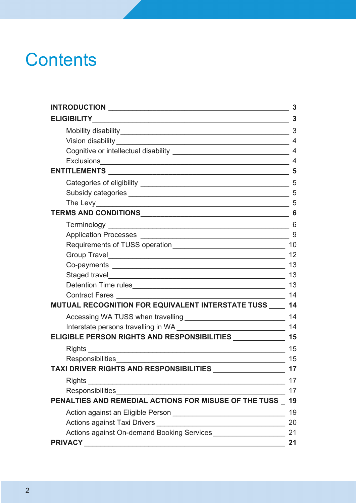# **Contents**

|                                                          | 3              |
|----------------------------------------------------------|----------------|
| <b>ELIGIBILITY</b>                                       | 3              |
|                                                          | 3              |
|                                                          | $\overline{4}$ |
|                                                          |                |
|                                                          | $\overline{4}$ |
|                                                          | 5              |
|                                                          | 5              |
|                                                          | 5              |
|                                                          | 5              |
|                                                          | 6              |
|                                                          | 6              |
|                                                          | 9              |
|                                                          |                |
|                                                          | 12             |
|                                                          | 13             |
|                                                          | 13             |
|                                                          | 13             |
|                                                          | 14             |
| MUTUAL RECOGNITION FOR EQUIVALENT INTERSTATE TUSS ____   | 14             |
|                                                          | 14             |
|                                                          | 14             |
| ELIGIBLE PERSON RIGHTS AND RESPONSIBILITIES ____________ | 15             |
| Rights                                                   | 15             |
|                                                          | 15             |
| TAXI DRIVER RIGHTS AND RESPONSIBILITIES                  | 17             |
|                                                          | 17             |
|                                                          | 17             |
| PENALTIES AND REMEDIAL ACTIONS FOR MISUSE OF THE TUSS    | 19             |
|                                                          | 19             |
|                                                          | 20             |
| Actions against On-demand Booking Services               | 21             |
|                                                          | 21             |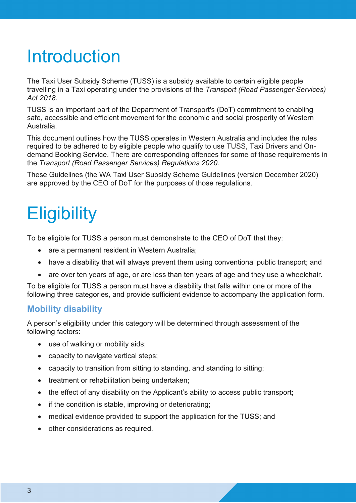# <span id="page-2-0"></span>Introduction

The Taxi User Subsidy Scheme (TUSS) is a subsidy available to certain eligible people travelling in a Taxi operating under the provisions of the *Transport (Road Passenger Services) Act 2018*.

TUSS is an important part of the Department of Transport's (DoT) commitment to enabling safe, accessible and efficient movement for the economic and social prosperity of Western Australia.

This document outlines how the TUSS operates in Western Australia and includes the rules required to be adhered to by eligible people who qualify to use TUSS, Taxi Drivers and Ondemand Booking Service. There are corresponding offences for some of those requirements in the *Transport (Road Passenger Services) Regulations 2020*.

These Guidelines (the WA Taxi User Subsidy Scheme Guidelines (version January 2021) are approved by the CEO of DoT for the purposes of those regulations.

# <span id="page-2-1"></span>**Eligibility**

To be eligible for TUSS a person must demonstrate to the CEO of DoT that they:

- are a permanent resident in Western Australia:
- have a disability that will always prevent them using conventional public transport; and
- are over ten years of age, or are less than ten years of age and they use a wheelchair.

To be eligible for TUSS a person must have a disability that falls within one or more of the following three categories, and provide sufficient evidence to accompany the application form.

## <span id="page-2-2"></span>**Mobility disability**

A person's eligibility under this category will be determined through assessment of the following factors:

- use of walking or mobility aids:
- capacity to navigate vertical steps;
- capacity to transition from sitting to standing, and standing to sitting;
- treatment or rehabilitation being undertaken;
- the effect of any disability on the Applicant's ability to access public transport:
- if the condition is stable, improving or deteriorating;
- medical evidence provided to support the application for the TUSS; and
- other considerations as required.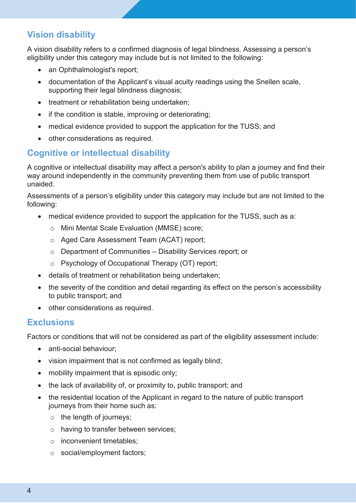## <span id="page-3-0"></span>**Vision disability**

A vision disability refers to a confirmed diagnosis of legal blindness. Assessing a person's eligibility under this category may include but is not limited to the following:

- an Ophthalmologist's report;
- documentation of the Applicant's visual acuity readings using the Snellen scale, supporting their legal blindness diagnosis;
- treatment or rehabilitation being undertaken;
- if the condition is stable, improving or deteriorating;
- medical evidence provided to support the application for the TUSS; and
- other considerations as required.

## <span id="page-3-1"></span>**Cognitive or intellectual disability**

A cognitive or intellectual disability may affect a person's ability to plan a journey and find their way around independently in the community preventing them from use of public transport unaided.

Assessments of a person's eligibility under this category may include but are not limited to the following:

- medical evidence provided to support the application for the TUSS, such as a:
	- o Mini Mental Scale Evaluation (MMSE) score;
	- o Aged Care Assessment Team (ACAT) report;
	- o Department of Communities Disability Services report; or
	- o Psychology of Occupational Therapy (OT) report;
- details of treatment or rehabilitation being undertaken;
- the severity of the condition and detail regarding its effect on the person's accessibility to public transport; and
- other considerations as required.

### <span id="page-3-2"></span>**Exclusions**

Factors or conditions that will not be considered as part of the eligibility assessment include:

- anti-social behaviour:
- vision impairment that is not confirmed as legally blind;
- mobility impairment that is episodic only;
- the lack of availability of, or proximity to, public transport; and
- the residential location of the Applicant in regard to the nature of public transport journeys from their home such as:
	- $\circ$  the length of journeys:
	- o having to transfer between services;
	- o inconvenient timetables;
	- o social/employment factors;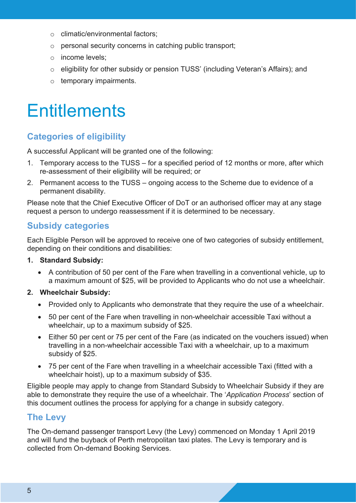- o climatic/environmental factors;
- o personal security concerns in catching public transport;
- o income levels;
- o eligibility for other subsidy or pension TUSS' (including Veteran's Affairs); and
- o temporary impairments.

## <span id="page-4-0"></span>**Fntitlements**

## <span id="page-4-1"></span>**Categories of eligibility**

A successful Applicant will be granted one of the following:

- 1. Temporary access to the TUSS for a specified period of 12 months or more, after which re-assessment of their eligibility will be required; or
- 2. Permanent access to the TUSS ongoing access to the Scheme due to evidence of a permanent disability.

Please note that the Chief Executive Officer of DoT or an authorised officer may at any stage request a person to undergo reassessment if it is determined to be necessary.

## <span id="page-4-2"></span>**Subsidy categories**

Each Eligible Person will be approved to receive one of two categories of subsidy entitlement, depending on their conditions and disabilities:

#### **1. Standard Subsidy:**

• A contribution of 50 per cent of the Fare when travelling in a conventional vehicle, up to a maximum amount of \$25, will be provided to Applicants who do not use a wheelchair.

#### **2. Wheelchair Subsidy:**

- Provided only to Applicants who demonstrate that they require the use of a wheelchair.
- 50 per cent of the Fare when travelling in non-wheelchair accessible Taxi without a wheelchair, up to a maximum subsidy of \$25.
- Either 50 per cent or 75 per cent of the Fare (as indicated on the vouchers issued) when travelling in a non-wheelchair accessible Taxi with a wheelchair, up to a maximum subsidy of \$25.
- 75 per cent of the Fare when travelling in a wheelchair accessible Taxi (fitted with a wheelchair hoist), up to a maximum subsidy of \$35.

Eligible people may apply to change from Standard Subsidy to Wheelchair Subsidy if they are able to demonstrate they require the use of a wheelchair. The '*Application Process*' section of this document outlines the process for applying for a change in subsidy category.

## <span id="page-4-3"></span>**The Levy**

The On-demand passenger transport Levy (the Levy) commenced on Monday 1 April 2019 and will fund the buyback of Perth metropolitan taxi plates. The Levy is temporary and is collected from On-demand Booking Services.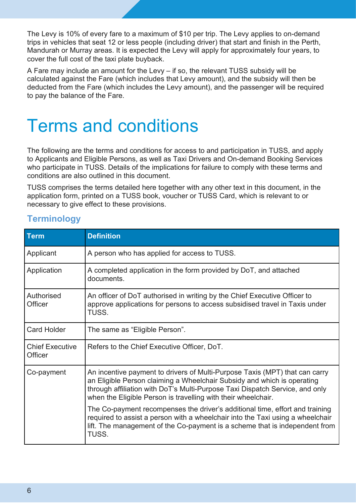The Levy is 10% of every fare to a maximum of \$10 per trip. The Levy applies to on-demand trips in vehicles that seat 12 or less people (including driver) that start and finish in the Perth, Mandurah or Murray areas. It is expected the Levy will apply for approximately four years, to cover the full cost of the taxi plate buyback.

A Fare may include an amount for the Levy – if so, the relevant TUSS subsidy will be calculated against the Fare (which includes that Levy amount), and the subsidy will then be deducted from the Fare (which includes the Levy amount), and the passenger will be required to pay the balance of the Fare.

## <span id="page-5-0"></span>Terms and conditions

The following are the terms and conditions for access to and participation in TUSS, and apply to Applicants and Eligible Persons, as well as Taxi Drivers and On-demand Booking Services who participate in TUSS. Details of the implications for failure to comply with these terms and conditions are also outlined in this document.

TUSS comprises the terms detailed here together with any other text in this document, in the application form, printed on a TUSS book, voucher or TUSS Card, which is relevant to or necessary to give effect to these provisions.

| Term                              | <b>Definition</b>                                                                                                                                                                                                                                                                                       |
|-----------------------------------|---------------------------------------------------------------------------------------------------------------------------------------------------------------------------------------------------------------------------------------------------------------------------------------------------------|
| Applicant                         | A person who has applied for access to TUSS.                                                                                                                                                                                                                                                            |
| Application                       | A completed application in the form provided by DoT, and attached<br>documents.                                                                                                                                                                                                                         |
| Authorised<br>Officer             | An officer of DoT authorised in writing by the Chief Executive Officer to<br>approve applications for persons to access subsidised travel in Taxis under<br>TUSS.                                                                                                                                       |
| <b>Card Holder</b>                | The same as "Eligible Person".                                                                                                                                                                                                                                                                          |
| <b>Chief Executive</b><br>Officer | Refers to the Chief Executive Officer, DoT.                                                                                                                                                                                                                                                             |
| Co-payment                        | An incentive payment to drivers of Multi-Purpose Taxis (MPT) that can carry<br>an Eligible Person claiming a Wheelchair Subsidy and which is operating<br>through affiliation with DoT's Multi-Purpose Taxi Dispatch Service, and only<br>when the Eligible Person is travelling with their wheelchair. |
|                                   | The Co-payment recompenses the driver's additional time, effort and training<br>required to assist a person with a wheelchair into the Taxi using a wheelchair<br>lift. The management of the Co-payment is a scheme that is independent from<br>TUSS.                                                  |

## <span id="page-5-1"></span>**Terminology**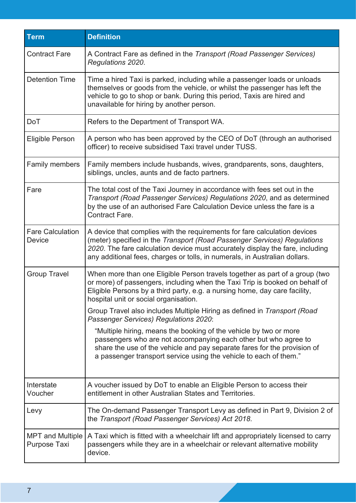| <b>Term</b>                              | <b>Definition</b>                                                                                                                                                                                                                                                                                                    |
|------------------------------------------|----------------------------------------------------------------------------------------------------------------------------------------------------------------------------------------------------------------------------------------------------------------------------------------------------------------------|
| <b>Contract Fare</b>                     | A Contract Fare as defined in the Transport (Road Passenger Services)<br>Regulations 2020.                                                                                                                                                                                                                           |
| <b>Detention Time</b>                    | Time a hired Taxi is parked, including while a passenger loads or unloads<br>themselves or goods from the vehicle, or whilst the passenger has left the<br>vehicle to go to shop or bank. During this period, Taxis are hired and<br>unavailable for hiring by another person.                                       |
| <b>DoT</b>                               | Refers to the Department of Transport WA.                                                                                                                                                                                                                                                                            |
| <b>Eligible Person</b>                   | A person who has been approved by the CEO of DoT (through an authorised<br>officer) to receive subsidised Taxi travel under TUSS.                                                                                                                                                                                    |
| Family members                           | Family members include husbands, wives, grandparents, sons, daughters,<br>siblings, uncles, aunts and de facto partners.                                                                                                                                                                                             |
| Fare                                     | The total cost of the Taxi Journey in accordance with fees set out in the<br>Transport (Road Passenger Services) Regulations 2020, and as determined<br>by the use of an authorised Fare Calculation Device unless the fare is a<br>Contract Fare.                                                                   |
| <b>Fare Calculation</b><br><b>Device</b> | A device that complies with the requirements for fare calculation devices<br>(meter) specified in the Transport (Road Passenger Services) Regulations<br>2020. The fare calculation device must accurately display the fare, including<br>any additional fees, charges or tolls, in numerals, in Australian dollars. |
| <b>Group Travel</b>                      | When more than one Eligible Person travels together as part of a group (two<br>or more) of passengers, including when the Taxi Trip is booked on behalf of<br>Eligible Persons by a third party, e.g. a nursing home, day care facility,<br>hospital unit or social organisation.                                    |
|                                          | Group Travel also includes Multiple Hiring as defined in Transport (Road<br>Passenger Services) Regulations 2020:                                                                                                                                                                                                    |
|                                          | "Multiple hiring, means the booking of the vehicle by two or more<br>passengers who are not accompanying each other but who agree to<br>share the use of the vehicle and pay separate fares for the provision of<br>a passenger transport service using the vehicle to each of them."                                |
| Interstate<br>Voucher                    | A voucher issued by DoT to enable an Eligible Person to access their<br>entitlement in other Australian States and Territories.                                                                                                                                                                                      |
| Levy                                     | The On-demand Passenger Transport Levy as defined in Part 9, Division 2 of<br>the Transport (Road Passenger Services) Act 2018.                                                                                                                                                                                      |
| <b>MPT and Multiple</b><br>Purpose Taxi  | A Taxi which is fitted with a wheelchair lift and appropriately licensed to carry<br>passengers while they are in a wheelchair or relevant alternative mobility<br>device.                                                                                                                                           |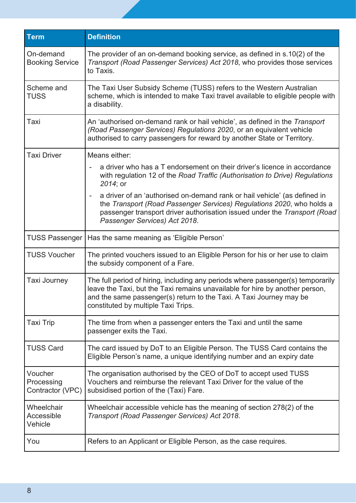| <b>Term</b>                               | <b>Definition</b>                                                                                                                                                                                                                                                                            |
|-------------------------------------------|----------------------------------------------------------------------------------------------------------------------------------------------------------------------------------------------------------------------------------------------------------------------------------------------|
| On-demand<br><b>Booking Service</b>       | The provider of an on-demand booking service, as defined in s.10(2) of the<br>Transport (Road Passenger Services) Act 2018, who provides those services<br>to Taxis.                                                                                                                         |
| Scheme and<br><b>TUSS</b>                 | The Taxi User Subsidy Scheme (TUSS) refers to the Western Australian<br>scheme, which is intended to make Taxi travel available to eligible people with<br>a disability.                                                                                                                     |
| Taxi                                      | An 'authorised on-demand rank or hail vehicle', as defined in the Transport<br>(Road Passenger Services) Regulations 2020, or an equivalent vehicle<br>authorised to carry passengers for reward by another State or Territory.                                                              |
| Taxi Driver                               | Means either:                                                                                                                                                                                                                                                                                |
|                                           | a driver who has a T endorsement on their driver's licence in accordance<br>with regulation 12 of the Road Traffic (Authorisation to Drive) Regulations<br>2014; or                                                                                                                          |
|                                           | a driver of an 'authorised on-demand rank or hail vehicle' (as defined in<br>$\overline{\phantom{a}}$<br>the Transport (Road Passenger Services) Regulations 2020, who holds a<br>passenger transport driver authorisation issued under the Transport (Road<br>Passenger Services) Act 2018. |
| <b>TUSS Passenger</b>                     | Has the same meaning as 'Eligible Person'                                                                                                                                                                                                                                                    |
| <b>TUSS Voucher</b>                       | The printed vouchers issued to an Eligible Person for his or her use to claim<br>the subsidy component of a Fare.                                                                                                                                                                            |
| <b>Taxi Journey</b>                       | The full period of hiring, including any periods where passenger(s) temporarily<br>leave the Taxi, but the Taxi remains unavailable for hire by another person,<br>and the same passenger(s) return to the Taxi. A Taxi Journey may be<br>constituted by multiple Taxi Trips.                |
| Taxi Trip                                 | The time from when a passenger enters the Taxi and until the same<br>passenger exits the Taxi.                                                                                                                                                                                               |
| <b>TUSS Card</b>                          | The card issued by DoT to an Eligible Person. The TUSS Card contains the<br>Eligible Person's name, a unique identifying number and an expiry date                                                                                                                                           |
| Voucher<br>Processing<br>Contractor (VPC) | The organisation authorised by the CEO of DoT to accept used TUSS<br>Vouchers and reimburse the relevant Taxi Driver for the value of the<br>subsidised portion of the (Taxi) Fare.                                                                                                          |
| Wheelchair<br>Accessible<br>Vehicle       | Wheelchair accessible vehicle has the meaning of section 278(2) of the<br>Transport (Road Passenger Services) Act 2018.                                                                                                                                                                      |
| You                                       | Refers to an Applicant or Eligible Person, as the case requires.                                                                                                                                                                                                                             |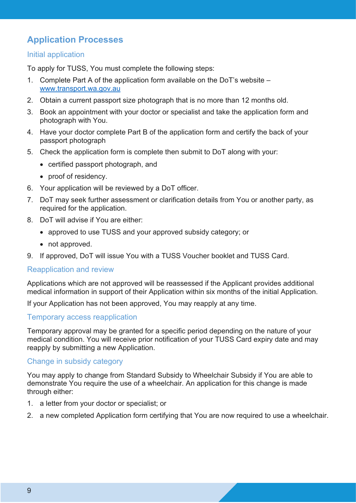## <span id="page-8-0"></span>**Application Processes**

#### Initial application

To apply for TUSS, You must complete the following steps:

- 1. Complete Part A of the application form available on the DoT's website [www.transport.wa.gov.au](http://www.transport.wa.gov.au/)
- 2. Obtain a current passport size photograph that is no more than 12 months old.
- 3. Book an appointment with your doctor or specialist and take the application form and photograph with You.
- 4. Have your doctor complete Part B of the application form and certify the back of your passport photograph
- 5. Check the application form is complete then submit to DoT along with your:
	- certified passport photograph, and
	- proof of residency.
- 6. Your application will be reviewed by a DoT officer.
- 7. DoT may seek further assessment or clarification details from You or another party, as required for the application.
- 8. DoT will advise if You are either:
	- approved to use TUSS and your approved subsidy category; or
	- not approved.
- 9. If approved, DoT will issue You with a TUSS Voucher booklet and TUSS Card.

#### Reapplication and review

Applications which are not approved will be reassessed if the Applicant provides additional medical information in support of their Application within six months of the initial Application.

If your Application has not been approved, You may reapply at any time.

#### Temporary access reapplication

Temporary approval may be granted for a specific period depending on the nature of your medical condition. You will receive prior notification of your TUSS Card expiry date and may reapply by submitting a new Application.

#### Change in subsidy category

You may apply to change from Standard Subsidy to Wheelchair Subsidy if You are able to demonstrate You require the use of a wheelchair. An application for this change is made through either:

- 1. a letter from your doctor or specialist; or
- 2. a new completed Application form certifying that You are now required to use a wheelchair.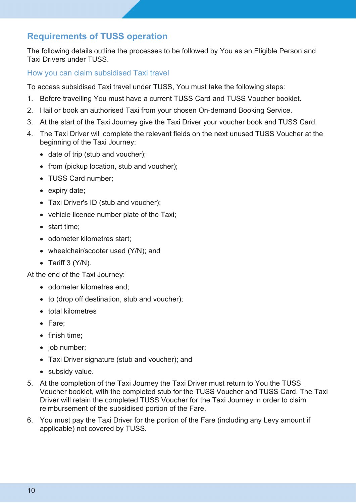## <span id="page-9-0"></span>**Requirements of TUSS operation**

The following details outline the processes to be followed by You as an Eligible Person and Taxi Drivers under TUSS.

How you can claim subsidised Taxi travel

To access subsidised Taxi travel under TUSS, You must take the following steps:

- 1. Before travelling You must have a current TUSS Card and TUSS Voucher booklet.
- 2. Hail or book an authorised Taxi from your chosen On-demand Booking Service.
- 3. At the start of the Taxi Journey give the Taxi Driver your voucher book and TUSS Card.
- 4. The Taxi Driver will complete the relevant fields on the next unused TUSS Voucher at the beginning of the Taxi Journey:
	- date of trip (stub and voucher);
	- from (pickup location, stub and voucher);
	- TUSS Card number;
	- expiry date;
	- Taxi Driver's ID (stub and voucher);
	- vehicle licence number plate of the Taxi;
	- start time;
	- odometer kilometres start;
	- wheelchair/scooter used (Y/N); and
	- Tariff  $3 (Y/N)$ .

At the end of the Taxi Journey:

- odometer kilometres end;
- to (drop off destination, stub and voucher);
- total kilometres
- Fare;
- finish time;
- job number:
- Taxi Driver signature (stub and voucher); and
- subsidy value.
- 5. At the completion of the Taxi Journey the Taxi Driver must return to You the TUSS Voucher booklet, with the completed stub for the TUSS Voucher and TUSS Card. The Taxi Driver will retain the completed TUSS Voucher for the Taxi Journey in order to claim reimbursement of the subsidised portion of the Fare.
- 6. You must pay the Taxi Driver for the portion of the Fare (including any Levy amount if applicable) not covered by TUSS.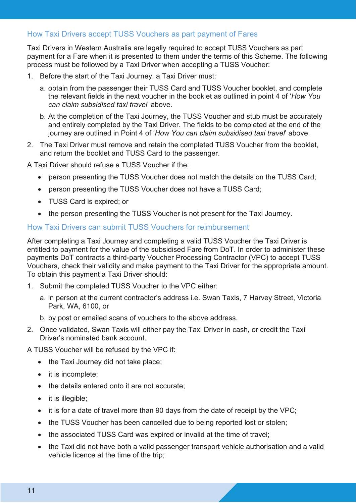#### How Taxi Drivers accept TUSS Vouchers as part payment of Fares

Taxi Drivers in Western Australia are legally required to accept TUSS Vouchers as part payment for a Fare when it is presented to them under the terms of this Scheme. The following process must be followed by a Taxi Driver when accepting a TUSS Voucher:

- 1. Before the start of the Taxi Journey, a Taxi Driver must:
	- a. obtain from the passenger their TUSS Card and TUSS Voucher booklet, and complete the relevant fields in the next voucher in the booklet as outlined in point 4 of '*How You can claim subsidised taxi travel*' above.
	- b. At the completion of the Taxi Journey, the TUSS Voucher and stub must be accurately and entirely completed by the Taxi Driver. The fields to be completed at the end of the journey are outlined in Point 4 of '*How You can claim subsidised taxi travel*' above.
- 2. The Taxi Driver must remove and retain the completed TUSS Voucher from the booklet, and return the booklet and TUSS Card to the passenger.

A Taxi Driver should refuse a TUSS Voucher if the:

- person presenting the TUSS Voucher does not match the details on the TUSS Card;
- person presenting the TUSS Voucher does not have a TUSS Card;
- TUSS Card is expired; or
- the person presenting the TUSS Voucher is not present for the Taxi Journey.

#### How Taxi Drivers can submit TUSS Vouchers for reimbursement

After completing a Taxi Journey and completing a valid TUSS Voucher the Taxi Driver is entitled to payment for the value of the subsidised Fare from DoT. In order to administer these payments DoT contracts a third-party Voucher Processing Contractor (VPC) to accept TUSS Vouchers, check their validity and make payment to the Taxi Driver for the appropriate amount. To obtain this payment a Taxi Driver should:

- 1. Submit the completed TUSS Voucher to the VPC either:
	- a. in person at the current contractor's address i.e. Swan Taxis, 7 Harvey Street, Victoria Park, WA, 6100, or
	- b. by post or emailed scans of vouchers to the above address.
- 2. Once validated, Swan Taxis will either pay the Taxi Driver in cash, or credit the Taxi Driver's nominated bank account.

A TUSS Voucher will be refused by the VPC if:

- the Taxi Journey did not take place;
- it is incomplete;
- the details entered onto it are not accurate;
- it is illegible;
- it is for a date of travel more than 90 days from the date of receipt by the VPC;
- the TUSS Voucher has been cancelled due to being reported lost or stolen;
- the associated TUSS Card was expired or invalid at the time of travel;
- the Taxi did not have both a valid passenger transport vehicle authorisation and a valid vehicle licence at the time of the trip;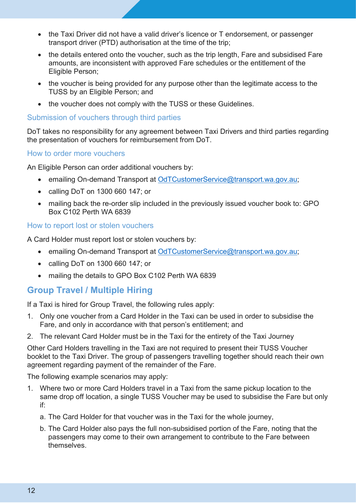- the Taxi Driver did not have a valid driver's licence or T endorsement, or passenger transport driver (PTD) authorisation at the time of the trip;
- the details entered onto the voucher, such as the trip length, Fare and subsidised Fare amounts, are inconsistent with approved Fare schedules or the entitlement of the Eligible Person;
- the voucher is being provided for any purpose other than the legitimate access to the TUSS by an Eligible Person; and
- the voucher does not comply with the TUSS or these Guidelines.

Submission of vouchers through third parties

DoT takes no responsibility for any agreement between Taxi Drivers and third parties regarding the presentation of vouchers for reimbursement from DoT.

#### How to order more vouchers

An Eligible Person can order additional vouchers by:

- emailing On-demand Transport at [OdTCustomerService@transport.wa.gov.au;](mailto:OdTCustomerService@transport.wa.gov.au)
- calling DoT on 1300 660 147; or
- mailing back the re-order slip included in the previously issued voucher book to: GPO Box C102 Perth WA 6839

#### How to report lost or stolen vouchers

A Card Holder must report lost or stolen vouchers by:

- emailing On-demand Transport at [OdTCustomerService@transport.wa.gov.au;](mailto:OdTCustomerService@transport.wa.gov.au)
- calling DoT on 1300 660 147; or
- mailing the details to GPO Box C102 Perth WA 6839

## <span id="page-11-0"></span>**Group Travel / Multiple Hiring**

If a Taxi is hired for Group Travel, the following rules apply:

- 1. Only one voucher from a Card Holder in the Taxi can be used in order to subsidise the Fare, and only in accordance with that person's entitlement; and
- 2. The relevant Card Holder must be in the Taxi for the entirety of the Taxi Journey

Other Card Holders travelling in the Taxi are not required to present their TUSS Voucher booklet to the Taxi Driver. The group of passengers travelling together should reach their own agreement regarding payment of the remainder of the Fare.

The following example scenarios may apply:

- 1. Where two or more Card Holders travel in a Taxi from the same pickup location to the same drop off location, a single TUSS Voucher may be used to subsidise the Fare but only if:
	- a. The Card Holder for that voucher was in the Taxi for the whole journey,
	- b. The Card Holder also pays the full non-subsidised portion of the Fare, noting that the passengers may come to their own arrangement to contribute to the Fare between themselves.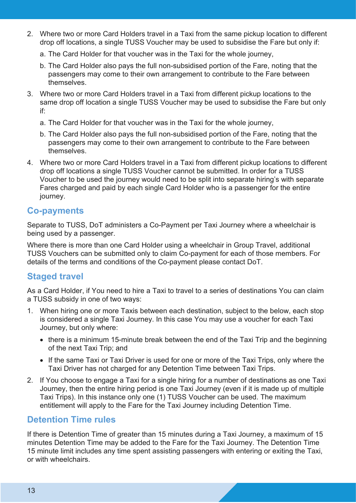- 2. Where two or more Card Holders travel in a Taxi from the same pickup location to different drop off locations, a single TUSS Voucher may be used to subsidise the Fare but only if:
	- a. The Card Holder for that voucher was in the Taxi for the whole journey,
	- b. The Card Holder also pays the full non-subsidised portion of the Fare, noting that the passengers may come to their own arrangement to contribute to the Fare between themselves.
- 3. Where two or more Card Holders travel in a Taxi from different pickup locations to the same drop off location a single TUSS Voucher may be used to subsidise the Fare but only if:
	- a. The Card Holder for that voucher was in the Taxi for the whole journey,
	- b. The Card Holder also pays the full non-subsidised portion of the Fare, noting that the passengers may come to their own arrangement to contribute to the Fare between themselves.
- 4. Where two or more Card Holders travel in a Taxi from different pickup locations to different drop off locations a single TUSS Voucher cannot be submitted. In order for a TUSS Voucher to be used the journey would need to be split into separate hiring's with separate Fares charged and paid by each single Card Holder who is a passenger for the entire journey.

## <span id="page-12-0"></span>**Co-payments**

Separate to TUSS, DoT administers a Co-Payment per Taxi Journey where a wheelchair is being used by a passenger.

Where there is more than one Card Holder using a wheelchair in Group Travel, additional TUSS Vouchers can be submitted only to claim Co-payment for each of those members. For details of the terms and conditions of the Co-payment please contact DoT.

### <span id="page-12-1"></span>**Staged travel**

As a Card Holder, if You need to hire a Taxi to travel to a series of destinations You can claim a TUSS subsidy in one of two ways:

- 1. When hiring one or more Taxis between each destination, subject to the below, each stop is considered a single Taxi Journey. In this case You may use a voucher for each Taxi Journey, but only where:
	- there is a minimum 15-minute break between the end of the Taxi Trip and the beginning of the next Taxi Trip; and
	- If the same Taxi or Taxi Driver is used for one or more of the Taxi Trips, only where the Taxi Driver has not charged for any Detention Time between Taxi Trips.
- 2. If You choose to engage a Taxi for a single hiring for a number of destinations as one Taxi Journey, then the entire hiring period is one Taxi Journey (even if it is made up of multiple Taxi Trips). In this instance only one (1) TUSS Voucher can be used. The maximum entitlement will apply to the Fare for the Taxi Journey including Detention Time.

## <span id="page-12-2"></span>**Detention Time rules**

If there is Detention Time of greater than 15 minutes during a Taxi Journey, a maximum of 15 minutes Detention Time may be added to the Fare for the Taxi Journey. The Detention Time 15 minute limit includes any time spent assisting passengers with entering or exiting the Taxi, or with wheelchairs.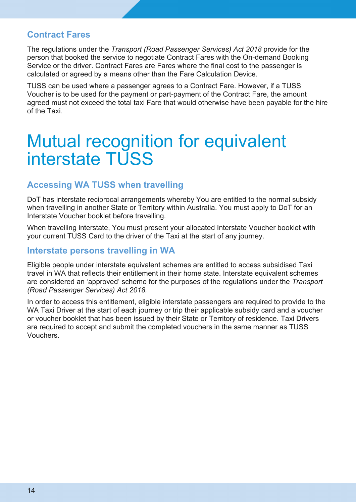#### <span id="page-13-0"></span>**Contract Fares**

The regulations under the *Transport (Road Passenger Services) Act 2018* provide for the person that booked the service to negotiate Contract Fares with the On-demand Booking Service or the driver. Contract Fares are Fares where the final cost to the passenger is calculated or agreed by a means other than the Fare Calculation Device.

TUSS can be used where a passenger agrees to a Contract Fare. However, if a TUSS Voucher is to be used for the payment or part-payment of the Contract Fare, the amount agreed must not exceed the total taxi Fare that would otherwise have been payable for the hire of the Taxi.

## <span id="page-13-1"></span>Mutual recognition for equivalent interstate TUSS

### <span id="page-13-2"></span>**Accessing WA TUSS when travelling**

DoT has interstate reciprocal arrangements whereby You are entitled to the normal subsidy when travelling in another State or Territory within Australia. You must apply to DoT for an Interstate Voucher booklet before travelling.

When travelling interstate, You must present your allocated Interstate Voucher booklet with your current TUSS Card to the driver of the Taxi at the start of any journey.

#### <span id="page-13-3"></span>**Interstate persons travelling in WA**

Eligible people under interstate equivalent schemes are entitled to access subsidised Taxi travel in WA that reflects their entitlement in their home state. Interstate equivalent schemes are considered an 'approved' scheme for the purposes of the regulations under the *Transport (Road Passenger Services) Act 2018.*

In order to access this entitlement, eligible interstate passengers are required to provide to the WA Taxi Driver at the start of each journey or trip their applicable subsidy card and a voucher or voucher booklet that has been issued by their State or Territory of residence. Taxi Drivers are required to accept and submit the completed vouchers in the same manner as TUSS **Vouchers**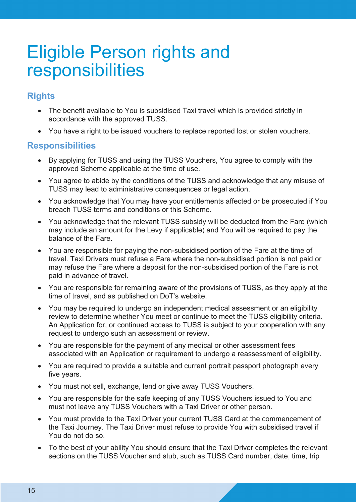## <span id="page-14-0"></span>Eligible Person rights and responsibilities

## <span id="page-14-1"></span>**Rights**

- The benefit available to You is subsidised Taxi travel which is provided strictly in accordance with the approved TUSS.
- You have a right to be issued vouchers to replace reported lost or stolen vouchers.

## <span id="page-14-2"></span>**Responsibilities**

- By applying for TUSS and using the TUSS Vouchers, You agree to comply with the approved Scheme applicable at the time of use.
- You agree to abide by the conditions of the TUSS and acknowledge that any misuse of TUSS may lead to administrative consequences or legal action.
- You acknowledge that You may have your entitlements affected or be prosecuted if You breach TUSS terms and conditions or this Scheme.
- You acknowledge that the relevant TUSS subsidy will be deducted from the Fare (which may include an amount for the Levy if applicable) and You will be required to pay the balance of the Fare.
- You are responsible for paying the non-subsidised portion of the Fare at the time of travel. Taxi Drivers must refuse a Fare where the non-subsidised portion is not paid or may refuse the Fare where a deposit for the non-subsidised portion of the Fare is not paid in advance of travel.
- You are responsible for remaining aware of the provisions of TUSS, as they apply at the time of travel, and as published on DoT's website.
- You may be required to undergo an independent medical assessment or an eligibility review to determine whether You meet or continue to meet the TUSS eligibility criteria. An Application for, or continued access to TUSS is subject to your cooperation with any request to undergo such an assessment or review.
- You are responsible for the payment of any medical or other assessment fees associated with an Application or requirement to undergo a reassessment of eligibility.
- You are required to provide a suitable and current portrait passport photograph every five years.
- You must not sell, exchange, lend or give away TUSS Vouchers.
- You are responsible for the safe keeping of any TUSS Vouchers issued to You and must not leave any TUSS Vouchers with a Taxi Driver or other person.
- You must provide to the Taxi Driver your current TUSS Card at the commencement of the Taxi Journey. The Taxi Driver must refuse to provide You with subsidised travel if You do not do so.
- To the best of your ability You should ensure that the Taxi Driver completes the relevant sections on the TUSS Voucher and stub, such as TUSS Card number, date, time, trip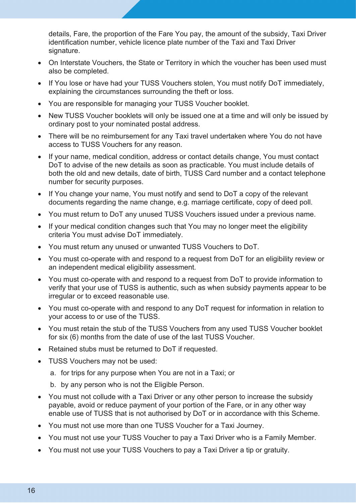details, Fare, the proportion of the Fare You pay, the amount of the subsidy, Taxi Driver identification number, vehicle licence plate number of the Taxi and Taxi Driver signature.

- On Interstate Vouchers, the State or Territory in which the voucher has been used must also be completed.
- If You lose or have had your TUSS Vouchers stolen, You must notify DoT immediately, explaining the circumstances surrounding the theft or loss.
- You are responsible for managing your TUSS Voucher booklet.
- New TUSS Voucher booklets will only be issued one at a time and will only be issued by ordinary post to your nominated postal address.
- There will be no reimbursement for any Taxi travel undertaken where You do not have access to TUSS Vouchers for any reason.
- If your name, medical condition, address or contact details change, You must contact DoT to advise of the new details as soon as practicable. You must include details of both the old and new details, date of birth, TUSS Card number and a contact telephone number for security purposes.
- If You change your name, You must notify and send to DoT a copy of the relevant documents regarding the name change, e.g. marriage certificate, copy of deed poll.
- You must return to DoT any unused TUSS Vouchers issued under a previous name.
- If your medical condition changes such that You may no longer meet the eligibility criteria You must advise DoT immediately.
- You must return any unused or unwanted TUSS Vouchers to DoT.
- You must co-operate with and respond to a request from DoT for an eligibility review or an independent medical eligibility assessment.
- You must co-operate with and respond to a request from DoT to provide information to verify that your use of TUSS is authentic, such as when subsidy payments appear to be irregular or to exceed reasonable use.
- You must co-operate with and respond to any DoT request for information in relation to your access to or use of the TUSS.
- You must retain the stub of the TUSS Vouchers from any used TUSS Voucher booklet for six (6) months from the date of use of the last TUSS Voucher.
- Retained stubs must be returned to DoT if requested.
- TUSS Vouchers may not be used:
	- a. for trips for any purpose when You are not in a Taxi; or
	- b. by any person who is not the Eligible Person.
- You must not collude with a Taxi Driver or any other person to increase the subsidy payable, avoid or reduce payment of your portion of the Fare, or in any other way enable use of TUSS that is not authorised by DoT or in accordance with this Scheme.
- You must not use more than one TUSS Voucher for a Taxi Journey.
- You must not use your TUSS Voucher to pay a Taxi Driver who is a Family Member.
- You must not use your TUSS Vouchers to pay a Taxi Driver a tip or gratuity.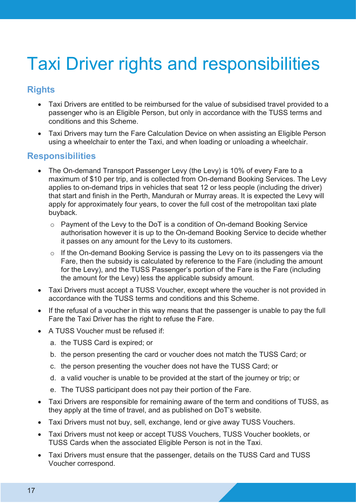# <span id="page-16-0"></span>Taxi Driver rights and responsibilities

## <span id="page-16-1"></span>**Rights**

- Taxi Drivers are entitled to be reimbursed for the value of subsidised travel provided to a passenger who is an Eligible Person, but only in accordance with the TUSS terms and conditions and this Scheme.
- Taxi Drivers may turn the Fare Calculation Device on when assisting an Eligible Person using a wheelchair to enter the Taxi, and when loading or unloading a wheelchair.

## <span id="page-16-2"></span>**Responsibilities**

- The On-demand Transport Passenger Levy (the Levy) is 10% of every Fare to a maximum of \$10 per trip, and is collected from On-demand Booking Services. The Levy applies to on-demand trips in vehicles that seat 12 or less people (including the driver) that start and finish in the Perth, Mandurah or Murray areas. It is expected the Levy will apply for approximately four years, to cover the full cost of the metropolitan taxi plate buyback.
	- $\circ$  Payment of the Levy to the DoT is a condition of On-demand Booking Service authorisation however it is up to the On-demand Booking Service to decide whether it passes on any amount for the Levy to its customers.
	- o If the On-demand Booking Service is passing the Levy on to its passengers via the Fare, then the subsidy is calculated by reference to the Fare (including the amount for the Levy), and the TUSS Passenger's portion of the Fare is the Fare (including the amount for the Levy) less the applicable subsidy amount.
- Taxi Drivers must accept a TUSS Voucher, except where the voucher is not provided in accordance with the TUSS terms and conditions and this Scheme.
- If the refusal of a voucher in this way means that the passenger is unable to pay the full Fare the Taxi Driver has the right to refuse the Fare.
- A TUSS Voucher must be refused if:
	- a. the TUSS Card is expired; or
	- b. the person presenting the card or voucher does not match the TUSS Card; or
	- c. the person presenting the voucher does not have the TUSS Card; or
	- d. a valid voucher is unable to be provided at the start of the journey or trip; or
	- e. The TUSS participant does not pay their portion of the Fare.
- Taxi Drivers are responsible for remaining aware of the term and conditions of TUSS, as they apply at the time of travel, and as published on DoT's website.
- Taxi Drivers must not buy, sell, exchange, lend or give away TUSS Vouchers.
- Taxi Drivers must not keep or accept TUSS Vouchers, TUSS Voucher booklets, or TUSS Cards when the associated Eligible Person is not in the Taxi.
- Taxi Drivers must ensure that the passenger, details on the TUSS Card and TUSS Voucher correspond.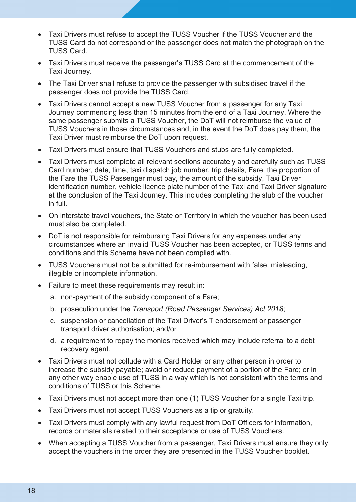- Taxi Drivers must refuse to accept the TUSS Voucher if the TUSS Voucher and the TUSS Card do not correspond or the passenger does not match the photograph on the TUSS Card.
- Taxi Drivers must receive the passenger's TUSS Card at the commencement of the Taxi Journey.
- The Taxi Driver shall refuse to provide the passenger with subsidised travel if the passenger does not provide the TUSS Card.
- Taxi Drivers cannot accept a new TUSS Voucher from a passenger for any Taxi Journey commencing less than 15 minutes from the end of a Taxi Journey. Where the same passenger submits a TUSS Voucher, the DoT will not reimburse the value of TUSS Vouchers in those circumstances and, in the event the DoT does pay them, the Taxi Driver must reimburse the DoT upon request.
- Taxi Drivers must ensure that TUSS Vouchers and stubs are fully completed.
- Taxi Drivers must complete all relevant sections accurately and carefully such as TUSS Card number, date, time, taxi dispatch job number, trip details, Fare, the proportion of the Fare the TUSS Passenger must pay, the amount of the subsidy, Taxi Driver identification number, vehicle licence plate number of the Taxi and Taxi Driver signature at the conclusion of the Taxi Journey. This includes completing the stub of the voucher in full.
- On interstate travel vouchers, the State or Territory in which the voucher has been used must also be completed.
- DoT is not responsible for reimbursing Taxi Drivers for any expenses under any circumstances where an invalid TUSS Voucher has been accepted, or TUSS terms and conditions and this Scheme have not been complied with.
- TUSS Vouchers must not be submitted for re-imbursement with false, misleading, illegible or incomplete information.
- Failure to meet these requirements may result in:
	- a. non-payment of the subsidy component of a Fare;
	- b. prosecution under the *Transport (Road Passenger Services) Act 2018*;
	- c. suspension or cancellation of the Taxi Driver's T endorsement or passenger transport driver authorisation; and/or
	- d. a requirement to repay the monies received which may include referral to a debt recovery agent.
- Taxi Drivers must not collude with a Card Holder or any other person in order to increase the subsidy payable; avoid or reduce payment of a portion of the Fare; or in any other way enable use of TUSS in a way which is not consistent with the terms and conditions of TUSS or this Scheme.
- Taxi Drivers must not accept more than one (1) TUSS Voucher for a single Taxi trip.
- Taxi Drivers must not accept TUSS Vouchers as a tip or gratuity.
- Taxi Drivers must comply with any lawful request from DoT Officers for information, records or materials related to their acceptance or use of TUSS Vouchers.
- When accepting a TUSS Voucher from a passenger, Taxi Drivers must ensure they only accept the vouchers in the order they are presented in the TUSS Voucher booklet.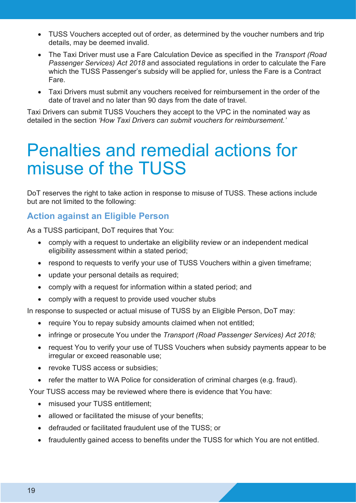- TUSS Vouchers accepted out of order, as determined by the voucher numbers and trip details, may be deemed invalid.
- The Taxi Driver must use a Fare Calculation Device as specified in the *Transport (Road Passenger Services) Act 2018* and associated regulations in order to calculate the Fare which the TUSS Passenger's subsidy will be applied for, unless the Fare is a Contract Fare.
- Taxi Drivers must submit any vouchers received for reimbursement in the order of the date of travel and no later than 90 days from the date of travel.

Taxi Drivers can submit TUSS Vouchers they accept to the VPC in the nominated way as detailed in the section *'How Taxi Drivers can submit vouchers for reimbursement.'*

## <span id="page-18-0"></span>Penalties and remedial actions for misuse of the TUSS

DoT reserves the right to take action in response to misuse of TUSS. These actions include but are not limited to the following:

## <span id="page-18-1"></span>**Action against an Eligible Person**

As a TUSS participant, DoT requires that You:

- comply with a request to undertake an eligibility review or an independent medical eligibility assessment within a stated period;
- respond to requests to verify your use of TUSS Vouchers within a given timeframe;
- update your personal details as required;
- comply with a request for information within a stated period; and
- comply with a request to provide used voucher stubs

In response to suspected or actual misuse of TUSS by an Eligible Person, DoT may:

- require You to repay subsidy amounts claimed when not entitled;
- infringe or prosecute You under the *Transport (Road Passenger Services) Act 2018;*
- request You to verify your use of TUSS Vouchers when subsidy payments appear to be irregular or exceed reasonable use;
- revoke TUSS access or subsidies;
- refer the matter to WA Police for consideration of criminal charges (e.g. fraud).

Your TUSS access may be reviewed where there is evidence that You have:

- misused your TUSS entitlement;
- allowed or facilitated the misuse of your benefits;
- defrauded or facilitated fraudulent use of the TUSS; or
- fraudulently gained access to benefits under the TUSS for which You are not entitled.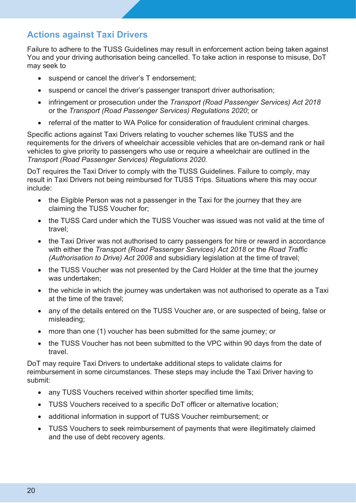## <span id="page-19-0"></span>**Actions against Taxi Drivers**

Failure to adhere to the TUSS Guidelines may result in enforcement action being taken against You and your driving authorisation being cancelled. To take action in response to misuse, DoT may seek to

- suspend or cancel the driver's T endorsement;
- suspend or cancel the driver's passenger transport driver authorisation;
- infringement or prosecution under the *Transport (Road Passenger Services) Act 2018* or the *Transport (Road Passenger Services) Regulations 2020*; or
- referral of the matter to WA Police for consideration of fraudulent criminal charges.

Specific actions against Taxi Drivers relating to voucher schemes like TUSS and the requirements for the drivers of wheelchair accessible vehicles that are on-demand rank or hail vehicles to give priority to passengers who use or require a wheelchair are outlined in the *Transport (Road Passenger Services) Regulations 2020.* 

DoT requires the Taxi Driver to comply with the TUSS Guidelines. Failure to comply, may result in Taxi Drivers not being reimbursed for TUSS Trips. Situations where this may occur include:

- the Eligible Person was not a passenger in the Taxi for the journey that they are claiming the TUSS Voucher for;
- the TUSS Card under which the TUSS Voucher was issued was not valid at the time of travel;
- the Taxi Driver was not authorised to carry passengers for hire or reward in accordance with either the *Transport (Road Passenger Services) Act 2018* or the *Road Traffic (Authorisation to Drive) Act 2008* and subsidiary legislation at the time of travel;
- the TUSS Voucher was not presented by the Card Holder at the time that the journey was undertaken;
- the vehicle in which the journey was undertaken was not authorised to operate as a Taxi at the time of the travel;
- any of the details entered on the TUSS Voucher are, or are suspected of being, false or misleading;
- more than one (1) voucher has been submitted for the same journey; or
- the TUSS Voucher has not been submitted to the VPC within 90 days from the date of travel.

DoT may require Taxi Drivers to undertake additional steps to validate claims for reimbursement in some circumstances. These steps may include the Taxi Driver having to submit:

- any TUSS Vouchers received within shorter specified time limits:
- TUSS Vouchers received to a specific DoT officer or alternative location;
- additional information in support of TUSS Voucher reimbursement; or
- TUSS Vouchers to seek reimbursement of payments that were illegitimately claimed and the use of debt recovery agents.